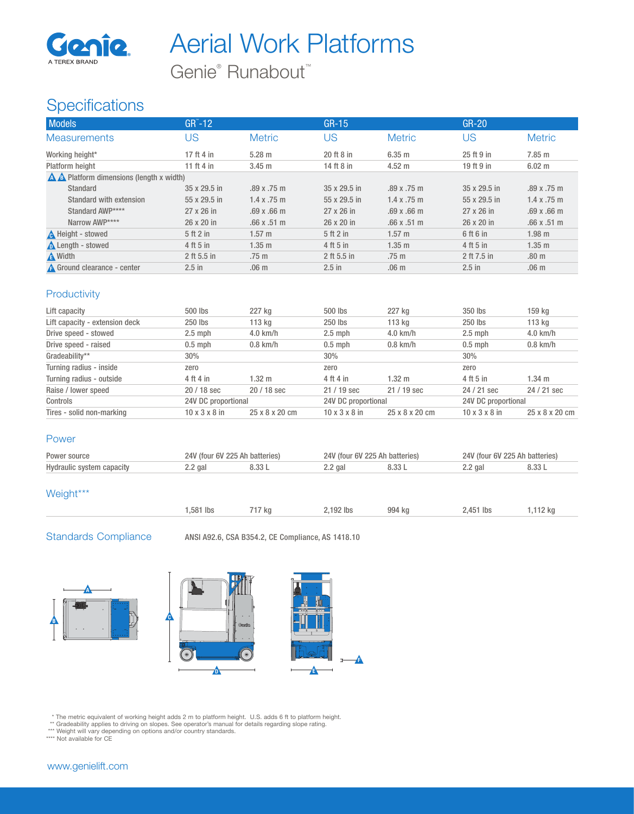

Aerial Work Platforms

Genie<sup>®</sup> Runabout<sup>™</sup>

## **Specifications**

| <b>Models</b>                                      | $GR^{\sim}$ -12 |                    | $GR-15$      |                    | $GR-20$      |                  |  |  |
|----------------------------------------------------|-----------------|--------------------|--------------|--------------------|--------------|------------------|--|--|
| <b>Measurements</b>                                | US              | <b>Metric</b>      | US           | <b>Metric</b>      | US           | <b>Metric</b>    |  |  |
| Working height*                                    | 17 ft 4 in      | $5.28 \text{ m}$   | 20 ft 8 in   | $6.35$ m           | 25 ft 9 in   | $7.85$ m         |  |  |
| Platform height                                    | 11 ft 4 in      | $3.45$ m           | 14 ft 8 in   | $4.52 \text{ m}$   | 19 ft 9 in   | $6.02 \text{ m}$ |  |  |
| $\triangle$ A Platform dimensions (length x width) |                 |                    |              |                    |              |                  |  |  |
| Standard                                           | 35 x 29.5 in    | .89x.75m           | 35 x 29.5 in | .89x.75m           | 35 x 29.5 in | .89x.75m         |  |  |
| Standard with extension                            | 55 x 29.5 in    | $1.4 \times .75$ m | 55 x 29.5 in | $1.4 \times .75$ m | 55 x 29.5 in | 1.4 x .75 m      |  |  |
| Standard AWP****                                   | 27 x 26 in      | .69x.66m           | 27 x 26 in   | $.69 \times .66$ m | 27 x 26 in   | .69x.66m         |  |  |
| Narrow AWP****                                     | 26 x 20 in      | .66x.51m           | 26 x 20 in   | .66x.51m           | 26 x 20 in   | .66x.51m         |  |  |
| <b>A</b> Height - stowed                           | 5 ft 2 in       | $1.57 \text{ m}$   | 5ft2in       | $1.57 \text{ m}$   | 6 ft 6 in    | $1.98$ m         |  |  |
| <b>A</b> Length - stowed                           | 4 ft 5 in       | $1.35$ m           | 4 ft 5 in    | $1.35$ m           | 4 ft 5 in    | $1.35$ m         |  |  |
| A Width                                            | 2 ft 5.5 in     | .75 <sub>m</sub>   | 2 ft 5.5 in  | .75 <sub>m</sub>   | 2 ft 7.5 in  | .80 <sub>m</sub> |  |  |
| A Ground clearance - center                        | $2.5$ in        | .06 <sub>m</sub>   | $2.5$ in     | .06 <sub>m</sub>   | $2.5$ in     | .06 <sub>m</sub> |  |  |

### **Productivity**

| Lift capacity                  | 500 lbs                   | 227 kg         | 500 lbs                   | 227 ka           | 350 lbs                   | 159 kg           |
|--------------------------------|---------------------------|----------------|---------------------------|------------------|---------------------------|------------------|
| Lift capacity - extension deck | 250 lbs                   | 113 kg         | 250 lbs                   | 113 kg           | 250 lbs                   | 113 kg           |
| Drive speed - stowed           | $2.5$ mph                 | $4.0$ km/h     | $2.5$ mph                 | $4.0$ km/h       | $2.5$ mph                 | $4.0$ km/h       |
| Drive speed - raised           | $0.5$ mph                 | $0.8$ km/h     | $0.5$ mph                 | $0.8$ km/h       | $0.5$ mph                 | $0.8$ km/h       |
| Gradeability**                 | 30%                       |                | 30%                       |                  | 30%                       |                  |
| Turning radius - inside        | zero                      |                | zero                      |                  | zero                      |                  |
| Turning radius - outside       | 4 ft 4 in                 | 1.32 $m$       | 4 ft 4 in                 | $1.32 \text{ m}$ | 4 ft 5 in                 | $1.34 \text{ m}$ |
| Raise / lower speed            | 20 / 18 sec               | $20/18$ sec    | $21/19$ sec               | $21/19$ sec      | 24 / 21 sec               | 24 / 21 sec      |
| Controls                       | 24V DC proportional       |                | 24V DC proportional       |                  | 24V DC proportional       |                  |
| Tires - solid non-marking      | $10 \times 3 \times 8$ in | 25 x 8 x 20 cm | $10 \times 3 \times 8$ in | 25 x 8 x 20 cm   | $10 \times 3 \times 8$ in | 25 x 8 x 20 cm   |

#### Power

| Power source              | 24V (four 6V 225 Ah batteries) |  | / (four 6V 225 Ah batteries) |  | 24V (four 6V 225 Ah batteries) |  |
|---------------------------|--------------------------------|--|------------------------------|--|--------------------------------|--|
| Hydraulic system capacity | $2.2$ gal                      |  | ∠.∠ gal                      |  | $2.2$ gal                      |  |

#### Weight\*\*\*

| .581<br>lbs | √ kq | 192 lbs | 994 kg | 2,451 lbs | 112 kc |
|-------------|------|---------|--------|-----------|--------|
|             |      |         |        |           |        |

Standards Compliance ANSI A92.6, CSA B354.2, CE Compliance, AS 1418.10







\* The metric equivalent of working height adds 2 m to platform height. U.S. adds 6 ft to platform height.<br>\*\* Gradeability applies to driving on slopes. See operator's manual for details regarding slope rating.<br>\*\*\* Weight w